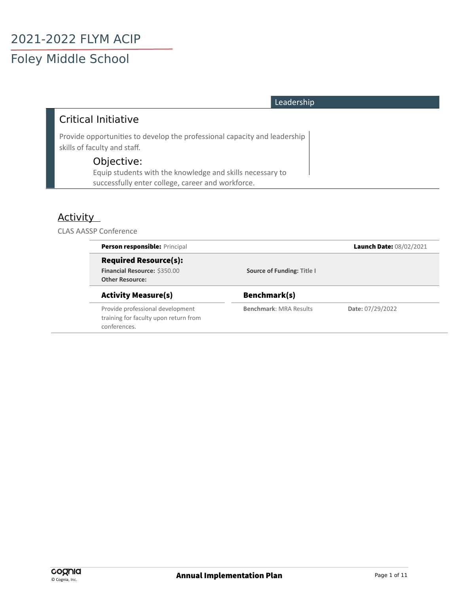#### Leadership

#### Critical Initiative

Provide opportunities to develop the professional capacity and leadership skills of faculty and staff.

#### Objective:

Equip students with the knowledge and skills necessary to successfully enter college, career and workforce.

#### **Activity**

#### CLAS AASSP Conference

| <b>Person responsible: Principal</b>                                                      |                               | Launch Date: 08/02/2021 |
|-------------------------------------------------------------------------------------------|-------------------------------|-------------------------|
| <b>Required Resource(s):</b><br>Financial Resource: \$350.00<br><b>Other Resource:</b>    | Source of Funding: Title I    |                         |
| <b>Activity Measure(s)</b>                                                                | Benchmark(s)                  |                         |
| Provide professional development<br>training for faculty upon return from<br>conferences. | <b>Benchmark: MRA Results</b> | Date: 07/29/2022        |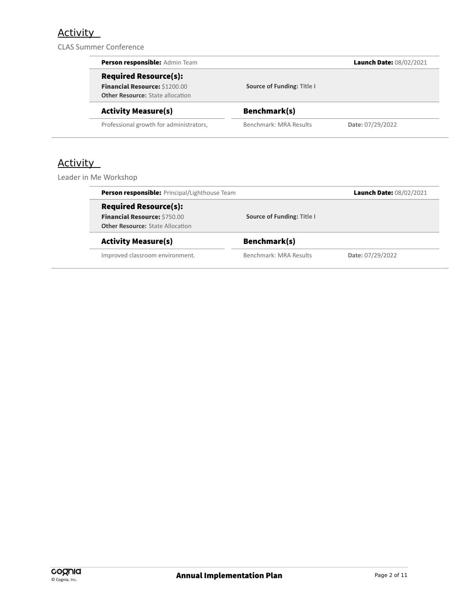## **Activity**

CLAS Summer Conference

| Person responsible: Admin Team          |                            | Launch Date: 08/02/2021 |
|-----------------------------------------|----------------------------|-------------------------|
| <b>Required Resource(s):</b>            |                            |                         |
| Financial Resource: \$1200.00           | Source of Funding: Title I |                         |
| <b>Other Resource:</b> State allocation |                            |                         |
| <b>Activity Measure(s)</b>              | Benchmark(s)               |                         |
| Professional growth for administrators, | Benchmark: MRA Results     | Date: 07/29/2022        |

### Activity

Leader in Me Workshop

| Person responsible: Principal/Lighthouse Team                                                                  |                            | Launch Date: 08/02/2021 |
|----------------------------------------------------------------------------------------------------------------|----------------------------|-------------------------|
| <b>Required Resource(s):</b><br><b>Financial Resource: \$750.00</b><br><b>Other Resource: State Allocation</b> | Source of Funding: Title I |                         |
| <b>Activity Measure(s)</b>                                                                                     | Benchmark(s)               |                         |
| Improved classroom environment.                                                                                | Benchmark: MRA Results     | Date: 07/29/2022        |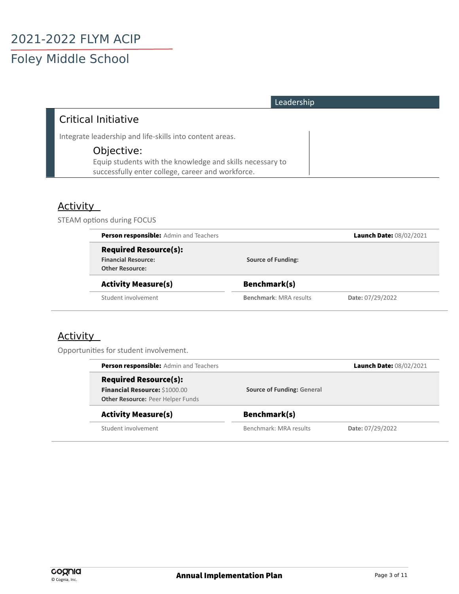| Leadership                                                                                                     |
|----------------------------------------------------------------------------------------------------------------|
| Critical Initiative                                                                                            |
| Integrate leadership and life-skills into content areas.                                                       |
| Objective:                                                                                                     |
| Equip students with the knowledge and skills necessary to<br>successfully enter college, career and workforce. |

#### **Activity**

STEAM options during FOCUS

| <b>Person responsible:</b> Admin and Teachers |                               | Launch Date: 08/02/2021 |
|-----------------------------------------------|-------------------------------|-------------------------|
| <b>Required Resource(s):</b>                  |                               |                         |
| <b>Financial Resource:</b>                    | <b>Source of Funding:</b>     |                         |
| <b>Other Resource:</b>                        |                               |                         |
| <b>Activity Measure(s)</b>                    | Benchmark(s)                  |                         |
| Student involvement                           | <b>Benchmark: MRA results</b> | Date: 07/29/2022        |

#### **Activity**

Opportunities for student involvement.

| <b>Person responsible:</b> Admin and Teachers |                                   | Launch Date: 08/02/2021 |  |
|-----------------------------------------------|-----------------------------------|-------------------------|--|
| <b>Required Resource(s):</b>                  |                                   |                         |  |
| <b>Financial Resource: \$1000.00</b>          | <b>Source of Funding: General</b> |                         |  |
| <b>Other Resource: Peer Helper Funds</b>      |                                   |                         |  |
| <b>Activity Measure(s)</b>                    | Benchmark(s)                      |                         |  |
| Student involvement                           | Benchmark: MRA results            | Date: 07/29/2022        |  |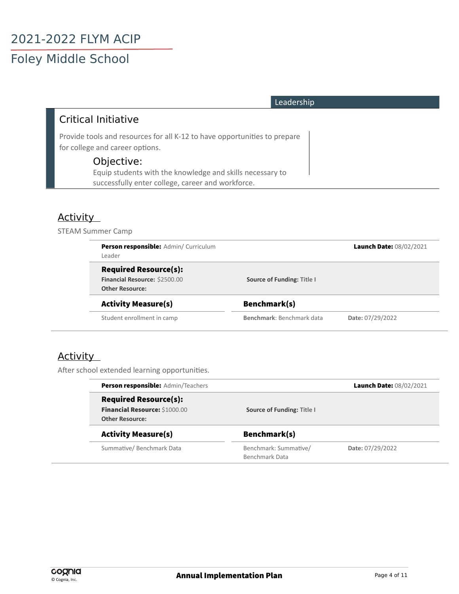| Leadership                                                                                                                   |  |
|------------------------------------------------------------------------------------------------------------------------------|--|
| <b>Critical Initiative</b>                                                                                                   |  |
| Provide tools and resources for all K-12 to have opportunities to prepare<br>for college and career options.                 |  |
| Objective:<br>Equip students with the knowledge and skills necessary to<br>successfully enter college, career and workforce. |  |

#### **Activity**

STEAM Summer Camp

| Person responsible: Admin/ Curriculum<br>Leader                                         |                            | Launch Date: 08/02/2021 |
|-----------------------------------------------------------------------------------------|----------------------------|-------------------------|
| <b>Required Resource(s):</b><br>Financial Resource: \$2500.00<br><b>Other Resource:</b> | Source of Funding: Title I |                         |
| <b>Activity Measure(s)</b>                                                              | Benchmark(s)               |                         |
| Student enrollment in camp                                                              | Benchmark: Benchmark data  | Date: 07/29/2022        |

#### **Activity**

After school extended learning opportunities.

| Person responsible: Admin/Teachers |                            | Launch Date: 08/02/2021 |
|------------------------------------|----------------------------|-------------------------|
| <b>Required Resource(s):</b>       |                            |                         |
| Financial Resource: \$1000.00      | Source of Funding: Title I |                         |
| <b>Other Resource:</b>             |                            |                         |
| <b>Activity Measure(s)</b>         | Benchmark(s)               |                         |
| Summative/Benchmark Data           | Benchmark: Summative/      | Date: 07/29/2022        |
|                                    | Benchmark Data             |                         |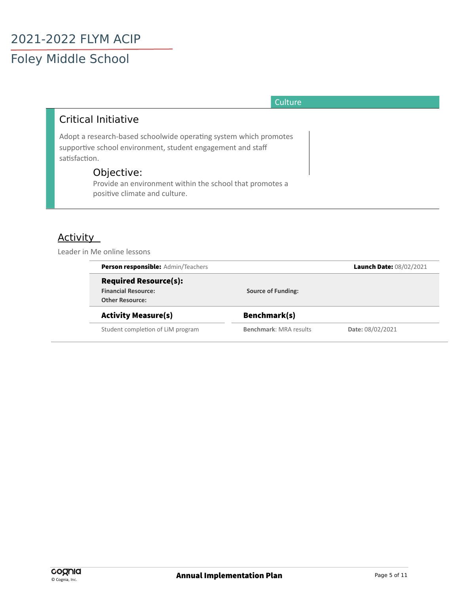## 2021-2022 FLYM ACIP Foley Middle School

#### **Culture**

#### Critical Initiative

Adopt a research-based schoolwide operating system which promotes supportive school environment, student engagement and staff satisfaction.

#### Objective:

Provide an environment within the school that promotes a positive climate and culture.

#### Activity

Leader in Me online lessons

| <b>Person responsible:</b> Admin/Teachers |                               | Launch Date: 08/02/2021 |
|-------------------------------------------|-------------------------------|-------------------------|
| <b>Required Resource(s):</b>              |                               |                         |
| <b>Financial Resource:</b>                | <b>Source of Funding:</b>     |                         |
| <b>Other Resource:</b>                    |                               |                         |
| <b>Activity Measure(s)</b>                | Benchmark(s)                  |                         |
| Student completion of LiM program         | <b>Benchmark: MRA results</b> | Date: 08/02/2021        |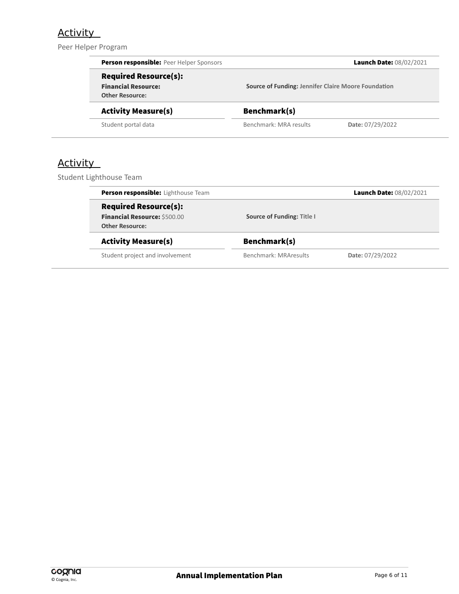#### **Activity**

Peer Helper Program

|                 | Person responsible: Peer Helper Sponsors                                             |                                                            | Launch Date: 08/02/2021 |
|-----------------|--------------------------------------------------------------------------------------|------------------------------------------------------------|-------------------------|
|                 | <b>Required Resource(s):</b><br><b>Financial Resource:</b><br><b>Other Resource:</b> | <b>Source of Funding: Jennifer Claire Moore Foundation</b> |                         |
|                 | <b>Activity Measure(s)</b>                                                           | Benchmark(s)                                               |                         |
|                 | Student portal data                                                                  | Benchmark: MRA results                                     | Date: 07/29/2022        |
| <b>Activity</b> | Student Lighthouse Team                                                              |                                                            |                         |
|                 | Person responsible: Lighthouse Team                                                  |                                                            | Launch Date: 08/02/2021 |
|                 |                                                                                      |                                                            |                         |

#### Activity Measure(s) Benchmark(s)

Student project and involvement Benchmark: MRAresults **Date: 07/29/2022**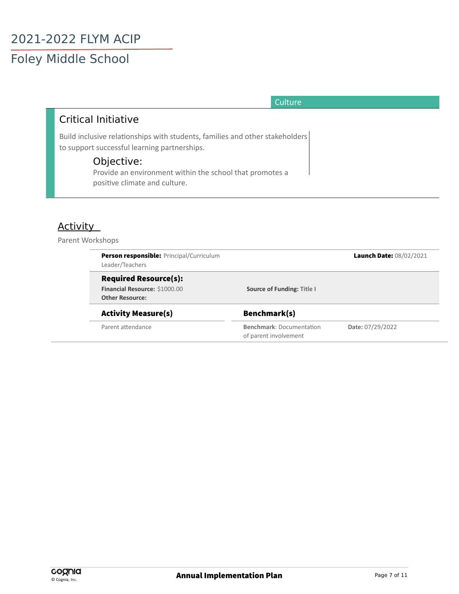#### **Culture**

#### Critical Initiative

Build inclusive relationships with students, families and other stakeholders to support successful learning partnerships.

#### Objective:

Provide an environment within the school that promotes a positive climate and culture.

#### Activity

Parent Workshops

| <b>Person responsible: Principal/Curriculum</b><br>Leader/Teachers |                                                          | Launch Date: 08/02/2021 |
|--------------------------------------------------------------------|----------------------------------------------------------|-------------------------|
| <b>Required Resource(s):</b>                                       |                                                          |                         |
| Financial Resource: \$1000.00<br><b>Other Resource:</b>            | Source of Funding: Title I                               |                         |
| <b>Activity Measure(s)</b>                                         | Benchmark(s)                                             |                         |
| Parent attendance                                                  | <b>Benchmark: Documentation</b><br>of parent involvement | Date: 07/29/2022        |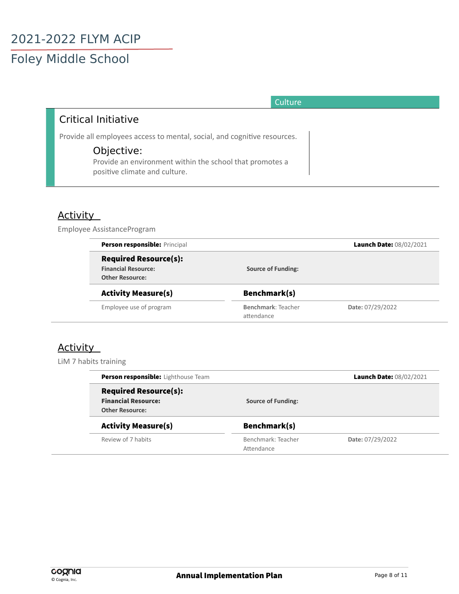| <b>Culture</b> |
|----------------|
|                |

#### Critical Initiative

Provide all employees access to mental, social, and cognitive resources.

#### Objective:

Provide an environment within the school that promotes a positive climate and culture.

#### Activity

Employee AssistanceProgram

| Person responsible: Principal |                           | Launch Date: 08/02/2021 |
|-------------------------------|---------------------------|-------------------------|
| <b>Required Resource(s):</b>  |                           |                         |
| <b>Financial Resource:</b>    | <b>Source of Funding:</b> |                         |
| <b>Other Resource:</b>        |                           |                         |
| <b>Activity Measure(s)</b>    | Benchmark(s)              |                         |
| Employee use of program       | Benchmark: Teacher        | Date: 07/29/2022        |
|                               | attendance                |                         |

#### **Activity**

LiM 7 habits training

| <b>Person responsible:</b> Lighthouse Team                                           |                                  | Launch Date: 08/02/2021 |
|--------------------------------------------------------------------------------------|----------------------------------|-------------------------|
| <b>Required Resource(s):</b><br><b>Financial Resource:</b><br><b>Other Resource:</b> | <b>Source of Funding:</b>        |                         |
| <b>Activity Measure(s)</b>                                                           | Benchmark(s)                     |                         |
| Review of 7 habits                                                                   | Benchmark: Teacher<br>Attendance | Date: 07/29/2022        |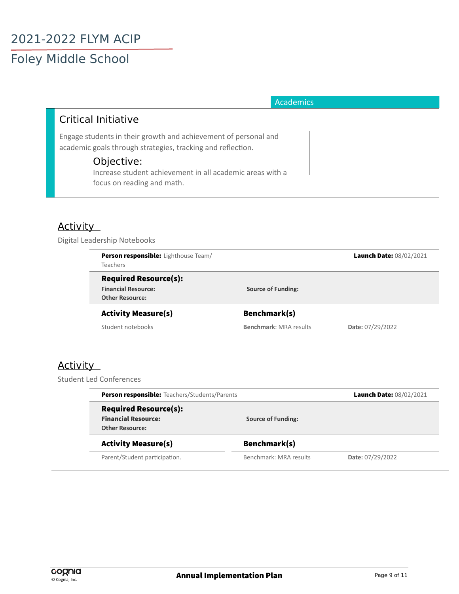#### **Academics**

#### Critical Initiative

Engage students in their growth and achievement of personal and academic goals through strategies, tracking and reflection.

#### Objective:

Increase student achievement in all academic areas with a focus on reading and math.

#### Activity

Digital Leadership Notebooks

| <b>Person responsible:</b> Lighthouse Team/ |                               | Launch Date: 08/02/2021 |
|---------------------------------------------|-------------------------------|-------------------------|
| <b>Teachers</b>                             |                               |                         |
| <b>Required Resource(s):</b>                |                               |                         |
| <b>Financial Resource:</b>                  | <b>Source of Funding:</b>     |                         |
| <b>Other Resource:</b>                      |                               |                         |
| <b>Activity Measure(s)</b>                  | Benchmark(s)                  |                         |
| Student notebooks                           | <b>Benchmark: MRA results</b> | Date: 07/29/2022        |

#### **Activity**

Student Led Conferences

| <b>Person responsible:</b> Teachers/Students/Parents                                 |                           | Launch Date: 08/02/2021 |  |
|--------------------------------------------------------------------------------------|---------------------------|-------------------------|--|
| <b>Required Resource(s):</b><br><b>Financial Resource:</b><br><b>Other Resource:</b> | <b>Source of Funding:</b> |                         |  |
| <b>Activity Measure(s)</b>                                                           | Benchmark(s)              |                         |  |
| Parent/Student participation.                                                        | Benchmark: MRA results    | Date: 07/29/2022        |  |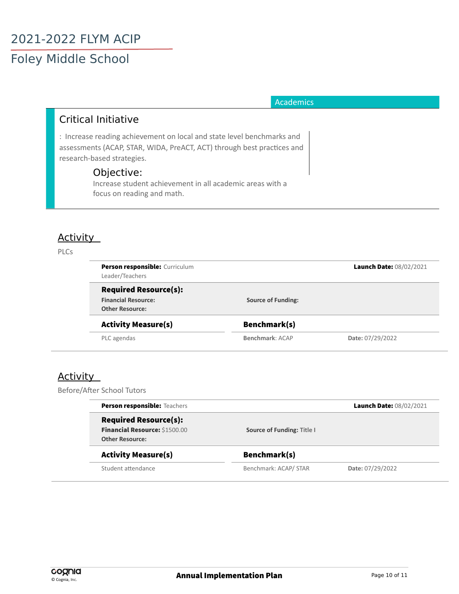# 2021-2022 FLYM ACIP

## Foley Middle School

#### **Academics**

#### Critical Initiative

: Increase reading achievement on local and state level benchmarks and assessments (ACAP, STAR, WIDA, PreACT, ACT) through best practices and research-based strategies.

#### Objective:

Increase student achievement in all academic areas with a focus on reading and math.

#### Activity

#### PLCs

| <b>Person responsible:</b> Curriculum<br>Leader/Teachers                             |                           | Launch Date: 08/02/2021 |
|--------------------------------------------------------------------------------------|---------------------------|-------------------------|
| <b>Required Resource(s):</b><br><b>Financial Resource:</b><br><b>Other Resource:</b> | <b>Source of Funding:</b> |                         |
| <b>Activity Measure(s)</b>                                                           | Benchmark(s)              |                         |
| PLC agendas                                                                          | Benchmark: ACAP           | Date: 07/29/2022        |

#### **Activity**

Before/After School Tutore

| <b>Person responsible: Teachers</b> |                            | Launch Date: 08/02/2021 |
|-------------------------------------|----------------------------|-------------------------|
| <b>Required Resource(s):</b>        |                            |                         |
| Financial Resource: \$1500.00       | Source of Funding: Title I |                         |
| <b>Other Resource:</b>              |                            |                         |
| <b>Activity Measure(s)</b>          | Benchmark(s)               |                         |
| Student attendance                  | Benchmark: ACAP/ STAR      | Date: 07/29/2022        |